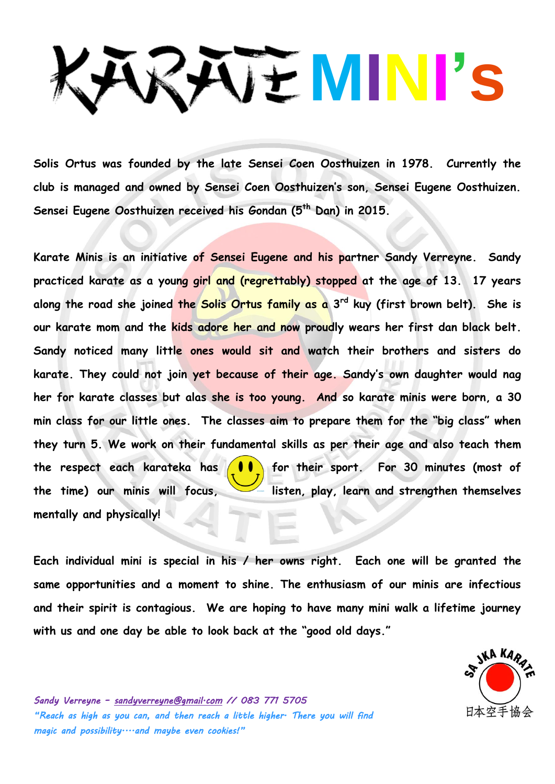# **MINI's**

**Solis Ortus was founded by the late Sensei Coen Oosthuizen in 1978. Currently the club is managed and owned by Sensei Coen Oosthuizen's son, Sensei Eugene Oosthuizen. Sensei Eugene Oosthuizen received his Gondan (5th Dan) in 2015.** 

**Karate Minis is an initiative of Sensei Eugene and his partner Sandy Verreyne. Sandy practiced karate as a young girl and (regrettably) stopped at the age of 13. 17 years along the road she joined the Solis Ortus family as a 3rd kuy (first brown belt). She is our karate mom and the kids adore her and now proudly wears her first dan black belt. Sandy noticed many little ones would sit and watch their brothers and sisters do karate. They could not join yet because of their age. Sandy's own daughter would nag her for karate classes but alas she is too young. And so karate minis were born, a 30 min class for our little ones. The classes aim to prepare them for the "big class" when they turn 5. We work on their fundamental skills as per their age and also teach them the respect each karateka has for their sport. For 30 minutes (most of**  the time) our minis will focus, **inclus** listen, play, learn and strengthen themselves **mentally and physically!**

**Each individual mini is special in his / her owns right. Each one will be granted the same opportunities and a moment to shine. The enthusiasm of our minis are infectious and their spirit is contagious. We are hoping to have many mini walk a lifetime journey with us and one day be able to look back at the "good old days."**



*Sandy Verreyne – sandyverreyne@gmail.com // 083 771 5705 "Reach as high as you can, and then reach a little higher. There you will find magic and possibility....and maybe even cookies!"*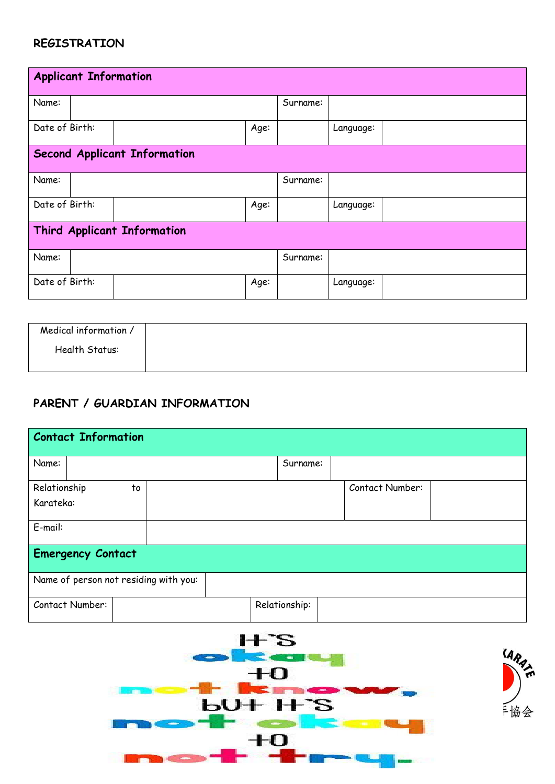#### **REGISTRATION**

| <b>Applicant Information</b>        |  |  |      |           |           |
|-------------------------------------|--|--|------|-----------|-----------|
| Name:                               |  |  |      | Surname:  |           |
| Date of Birth:                      |  |  | Age: |           | Language: |
| <b>Second Applicant Information</b> |  |  |      |           |           |
| Name:                               |  |  |      | Surname:  |           |
| Date of Birth:                      |  |  | Age: |           | Language: |
| <b>Third Applicant Information</b>  |  |  |      |           |           |
| Name:                               |  |  |      | Surname:  |           |
| Date of Birth:<br>Age:              |  |  |      | Language: |           |

| Medical information / |  |  |  |
|-----------------------|--|--|--|
| Health Status:        |  |  |  |
|                       |  |  |  |

## **PARENT / GUARDIAN INFORMATION**

| <b>Contact Information</b>            |               |                 |  |  |  |  |
|---------------------------------------|---------------|-----------------|--|--|--|--|
| Name:                                 | Surname:      |                 |  |  |  |  |
| Relationship<br>to                    |               | Contact Number: |  |  |  |  |
| Karateka:                             |               |                 |  |  |  |  |
| E-mail:                               |               |                 |  |  |  |  |
| <b>Emergency Contact</b>              |               |                 |  |  |  |  |
| Name of person not residing with you: |               |                 |  |  |  |  |
| Contact Number:                       | Relationship: |                 |  |  |  |  |